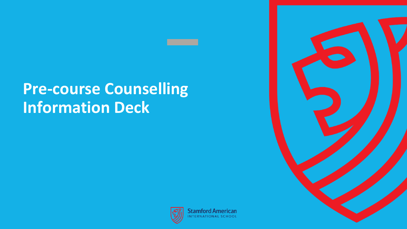# **Pre-course Counselling Information Deck**



**Stamford American VTERNATIONAL SCHOOL**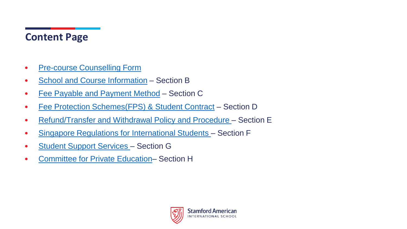### **Content Page**

- [Pre-course Counselling Form](https://drive.google.com/file/d/1VUzeaGzbWQ9etDdhTGErF-6zwLnFtJOp/view?usp=sharing)
- [School and Course Information](#page-2-0) Section B
- [Fee Payable and Payment Method](#page-12-0) Section C
- [Fee Protection Schemes\(FPS\) & Student Contract](#page-12-0) Section D
- [Refund/Transfer and Withdrawal Policy and Procedure –](#page-17-0) Section E
- [Singapore Regulations for International Students](#page-23-0)  Section F
- [Student Support Services](#page-29-0)  Section G
- [Committee for Private Education–](#page-33-0) Section H

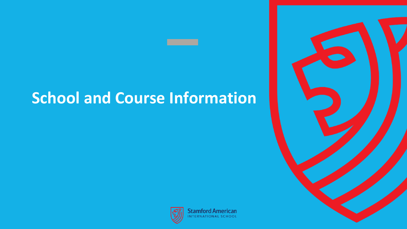# <span id="page-2-0"></span>**School and Course Information**





**Stamford American** NTERNATIONAL SCHOOL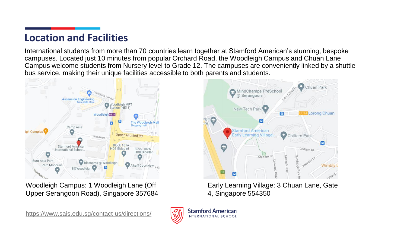### **Location and Facilities**

International students from more than 70 countries learn together at Stamford American's stunning, bespoke campuses. Located just 10 minutes from popular Orchard Road, the Woodleigh Campus and Chuan Lane Campus welcome students from Nursery level to Grade 12. The campuses are conveniently linked by a shuttle bus service, making their unique facilities accessible to both parents and students.



Woodleigh Campus: 1 Woodleigh Lane (Off Upper Serangoon Road), Singapore 357684

<https://www.sais.edu.sg/contact-us/directions/>



**Stamford American INTERNATIONAL SCHOOL** 



Early Learning Village: 3 Chuan Lane, Gate 4, Singapore 554350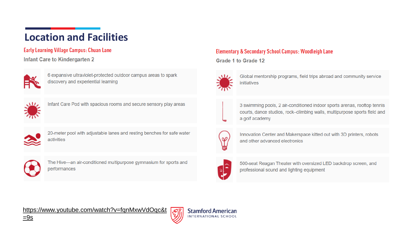## **Location and Facilities**

#### **Early Learning Village Campus: Chuan Lane**

#### **Infant Care to Kindergarten 2**



6 expansive ultraviolet-protected outdoor campus areas to spark discovery and experiential learning



Infant Care Pod with spacious rooms and secure sensory play areas



20-meter pool with adjustable lanes and resting benches for safe water activities



The Hive-an air-conditioned multipurpose gymnasium for sports and performances

#### **Elementary & Secondary School Campus: Woodleigh Lane**

Grade 1 to Grade 12



Global mentorship programs, field trips abroad and community service initiatives



3 swimming pools, 2 air-conditioned indoor sports arenas, rooftop tennis courts, dance studios, rock-climbing walls, multipurpose sports field and a golf academy



Innovation Center and Makerspace kitted out with 3D printers, robots and other advanced electronics



**Stamford American** INTERNATIONAL SCHOOL

500-seat Reagan Theater with oversized LED backdrop screen, and professional sound and lighting equipment

[https://www.youtube.com/watch?v=fqnMxwVdOqc&t](https://www.youtube.com/watch?v=fqnMxwVdOqc&t=9s)

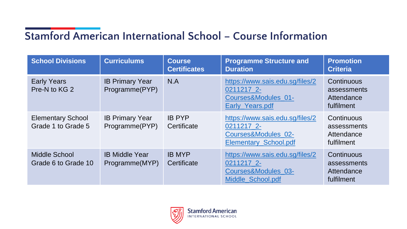# **Stamford American International School – Course Information**

| <b>School Divisions</b>                        | <b>Curriculums</b>                       | <b>Course</b><br><b>Certificates</b> | <b>Programme Structure and</b><br><b>Duration</b>                                                    | <b>Promotion</b><br><b>Criteria</b>                   |
|------------------------------------------------|------------------------------------------|--------------------------------------|------------------------------------------------------------------------------------------------------|-------------------------------------------------------|
| <b>Early Years</b><br>Pre-N to KG 2            | <b>IB Primary Year</b><br>Programme(PYP) | N.A                                  | https://www.sais.edu.sq/files/2<br>0211217 2-<br>Courses&Modules 01-<br>Early_Years.pdf              | Continuous<br>assessments<br>Attendance<br>fulfilment |
| <b>Elementary School</b><br>Grade 1 to Grade 5 | <b>IB Primary Year</b><br>Programme(PYP) | <b>IB PYP</b><br>Certificate         | https://www.sais.edu.sg/files/2<br>0211217 2-<br>Courses&Modules 02-<br><b>Elementary School.pdf</b> | Continuous<br>assessments<br>Attendance<br>fulfilment |
| <b>Middle School</b><br>Grade 6 to Grade 10    | <b>IB Middle Year</b><br>Programme(MYP)  | <b>IB MYP</b><br>Certificate         | https://www.sais.edu.sg/files/2<br>0211217 2-<br>Courses&Modules 03-<br>Middle School.pdf            | Continuous<br>assessments<br>Attendance<br>fulfilment |

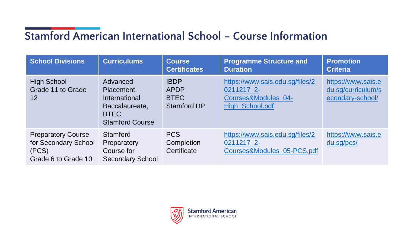# **Stamford American International School – Course Information**

| <b>School Divisions</b>                                                           | <b>Curriculums</b>                                                                           | <b>Course</b><br><b>Certificates</b>                     | <b>Programme Structure and</b><br><b>Duration</b>                                       | <b>Promotion</b><br><b>Criteria</b>                          |
|-----------------------------------------------------------------------------------|----------------------------------------------------------------------------------------------|----------------------------------------------------------|-----------------------------------------------------------------------------------------|--------------------------------------------------------------|
| <b>High School</b><br>Grade 11 to Grade<br>12                                     | Advanced<br>Placement,<br>International<br>Baccalaureate,<br>BTEC,<br><b>Stamford Course</b> | <b>IBDP</b><br><b>APDP</b><br><b>BTEC</b><br>Stamford DP | https://www.sais.edu.sg/files/2<br>0211217 2-<br>Courses&Modules 04-<br>High_School.pdf | https://www.sais.e<br>du.sq/curriculum/s<br>econdary-school/ |
| <b>Preparatory Course</b><br>for Secondary School<br>(PCS)<br>Grade 6 to Grade 10 | Stamford<br>Preparatory<br>Course for<br><b>Secondary School</b>                             | <b>PCS</b><br>Completion<br>Certificate                  | https://www.sais.edu.sg/files/2<br>0211217 2-<br>Courses&Modules_05-PCS.pdf             | https://www.sais.e<br>du.sg/pcs/                             |

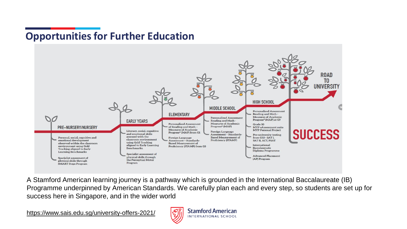### **Opportunities for Further Education**



A Stamford American learning journey is a pathway which is grounded in the International Baccalaureate (IB) Programme underpinned by American Standards. We carefully plan each and every step, so students are set up for success here in Singapore, and in the wider world

<https://www.sais.edu.sg/university-offers-2021/>

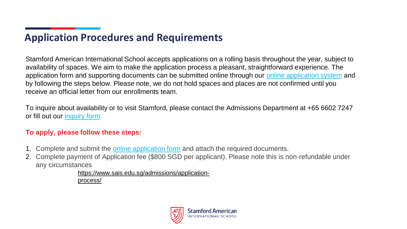### **Application Procedures and Requirements**

Stamford American International School accepts applications on a rolling basis throughout the year, subject to availability of spaces. We aim to make the application process a pleasant, straightforward experience. The application form and supporting documents can be submitted online through our [online application system](https://www.sais.edu.sg/admissions/apply-online/) and by following the steps below. Please note, we do not hold spaces and places are not confirmed until you receive an official letter from our enrollments team.

To inquire about availability or to visit Stamford, please contact the Admissions Department at +65 6602 7247 or fill out our [inquiry form](https://www.sais.edu.sg/online-enquiries/).

#### **To apply, please follow these steps:**

- 1. Complete and submit the [online application form](https://www.sais.edu.sg/admissions/apply-online/) and attach the required documents.
- 2. Complete payment of Application fee (\$800 SGD per applicant). Please note this is non-refundable under any circumstances

[https://www.sais.edu.sg/admissions/application](https://www.sais.edu.sg/admissions/application-process/)process/

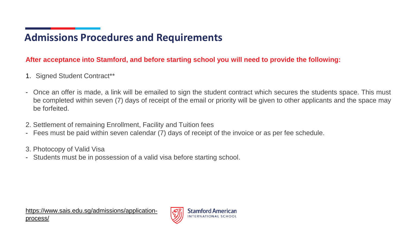### **Admissions Procedures and Requirements**

### **After acceptance into Stamford, and before starting school you will need to provide the following:**

- 1. Signed Student Contract\*\*
- Once an offer is made, a link will be emailed to sign the student contract which secures the students space. This must be completed within seven (7) days of receipt of the email or priority will be given to other applicants and the space may be forfeited.
- 2. Settlement of remaining Enrollment, Facility and Tuition fees
- Fees must be paid within seven calendar (7) days of receipt of the invoice or as per fee schedule.
- 3. Photocopy of Valid Visa
- Students must be in possession of a valid visa before starting school.

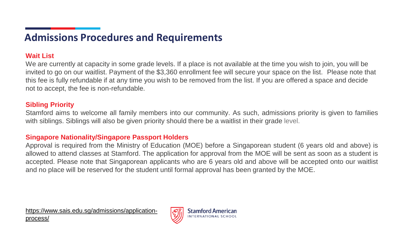### **Admissions Procedures and Requirements**

#### **Wait List**

We are currently at capacity in some grade levels. If a place is not available at the time you wish to join, you will be invited to go on our waitlist. Payment of the \$3,360 enrollment fee will secure your space on the list. Please note that this fee is fully refundable if at any time you wish to be removed from the list. If you are offered a space and decide not to accept, the fee is non-refundable.

#### **Sibling Priority**

Stamford aims to welcome all family members into our community. As such, admissions priority is given to families with siblings. Siblings will also be given priority should there be a waitlist in their grade level.

#### **Singapore Nationality/Singapore Passport Holders**

Approval is required from the Ministry of Education (MOE) before a Singaporean student (6 years old and above) is allowed to attend classes at Stamford. The application for approval from the MOE will be sent as soon as a student is accepted. Please note that Singaporean applicants who are 6 years old and above will be accepted onto our waitlist and no place will be reserved for the student until formal approval has been granted by the MOE.

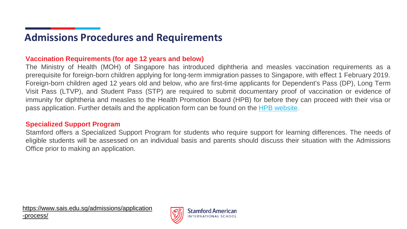### **Admissions Procedures and Requirements**

#### **Vaccination Requirements (for age 12 years and below)**

The Ministry of Health (MOH) of Singapore has introduced diphtheria and measles vaccination requirements as a prerequisite for foreign-born children applying for long-term immigration passes to Singapore, with effect 1 February 2019. Foreign-born children aged 12 years old and below, who are first-time applicants for Dependent's Pass (DP), Long Term Visit Pass (LTVP), and Student Pass (STP) are required to submit documentary proof of vaccination or evidence of immunity for diphtheria and measles to the Health Promotion Board (HPB) for before they can proceed with their visa or pass application. Further details and the application form can be found on the HPB [website.](https://www.nir.hpb.gov.sg/fcine)

#### **Specialized Support Program**

Stamford offers a Specialized Support Program for students who require support for learning differences. The needs of eligible students will be assessed on an individual basis and parents should discuss their situation with the Admissions Office prior to making an application.

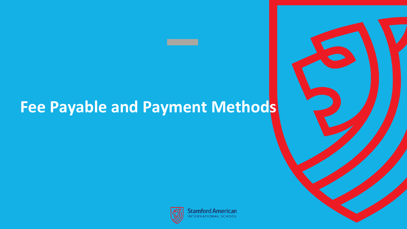# <span id="page-12-0"></span>**Fee Payable and Payment Methods**



**Stamford American** NTERNATIONAL SCHOOL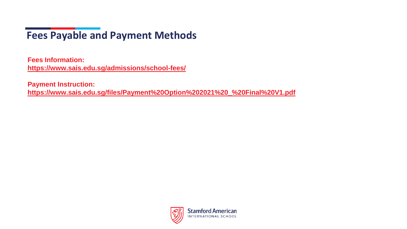## **Fees Payable and Payment Methods**

**Fees Information: <https://www.sais.edu.sg/admissions/school-fees/>**

**Payment Instruction: [https://www.sais.edu.sg/files/Payment%20Option%202021%20\\_%20Final%20V1.pdf](https://www.sais.edu.sg/files/Payment%20Option%202021%20_%20Final%20V1.pdf)**

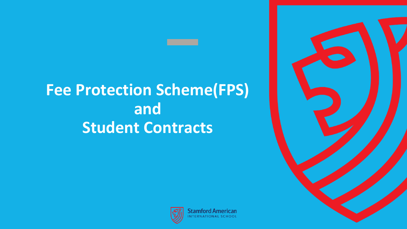# **Fee Protection Scheme(FPS) and Student Contracts**





**Stamford American TERNATIONAL SCHOOL**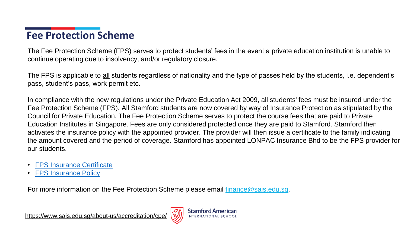### **Fee Protection Scheme**

The Fee Protection Scheme (FPS) serves to protect students' fees in the event a private education institution is unable to continue operating due to insolvency, and/or regulatory closure.

The FPS is applicable to all students regardless of nationality and the type of passes held by the students, i.e. dependent's pass, student's pass, work permit etc.

In compliance with the new regulations under the Private Education Act 2009, all students' fees must be insured under the Fee Protection Scheme (FPS). All Stamford students are now covered by way of Insurance Protection as stipulated by the Council for Private Education. The Fee Protection Scheme serves to protect the course fees that are paid to Private Education Institutes in Singapore. Fees are only considered protected once they are paid to Stamford. Stamford then activates the insurance policy with the appointed provider. The provider will then issue a certificate to the family indicating the amount covered and the period of coverage. Stamford has appointed LONPAC Insurance Bhd to be the FPS provider for our students.

- [FPS Insurance Certificate](https://www.sais.edu.sg/files/FPS_Certificate_2022_-_SAIS.pdf)
- **[FPS Insurance Policy](https://www.sais.edu.sg/files/FPS_Policy_Schedule_2022_-_SAIS.PDF)**

For more information on the Fee Protection Scheme please email finance @sais.edu.sg.

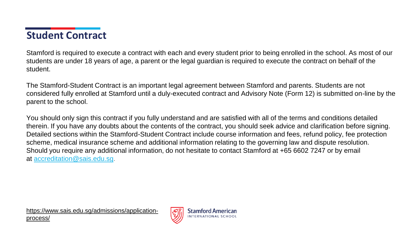### **Student Contract**

Stamford is required to execute a contract with each and every student prior to being enrolled in the school. As most of our students are under 18 years of age, a parent or the legal guardian is required to execute the contract on behalf of the student.

The Stamford-Student Contract is an important legal agreement between Stamford and parents. Students are not considered fully enrolled at Stamford until a duly-executed contract and Advisory Note (Form 12) is submitted on-line by the parent to the school.

You should only sign this contract if you fully understand and are satisfied with all of the terms and conditions detailed therein. If you have any doubts about the contents of the contract, you should seek advice and clarification before signing. Detailed sections within the Stamford-Student Contract include course information and fees, refund policy, fee protection scheme, medical insurance scheme and additional information relating to the governing law and dispute resolution. Should you require any additional information, do not hesitate to contact Stamford at +65 6602 7247 or by email at [accreditation@sais.edu.sg.](mailto:accreditation@sais.edu.sg)

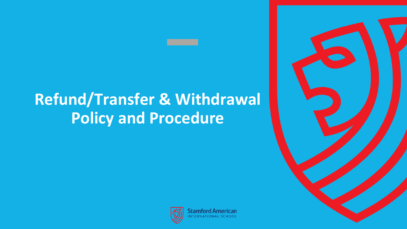# <span id="page-17-0"></span>**Refund/Transfer & Withdrawal Policy and Procedure**



**Stamford American** 

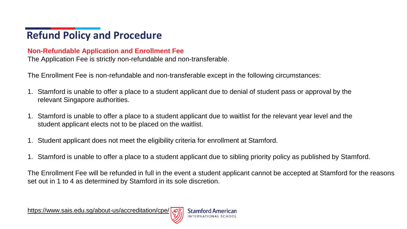### **Non-Refundable Application and Enrollment Fee**

The Application Fee is strictly non-refundable and non-transferable.

The Enrollment Fee is non-refundable and non-transferable except in the following circumstances:

- 1. Stamford is unable to offer a place to a student applicant due to denial of student pass or approval by the relevant Singapore authorities.
- 1. Stamford is unable to offer a place to a student applicant due to waitlist for the relevant year level and the student applicant elects not to be placed on the waitlist.
- 1. Student applicant does not meet the eligibility criteria for enrollment at Stamford.
- 1. Stamford is unable to offer a place to a student applicant due to sibling priority policy as published by Stamford.

The Enrollment Fee will be refunded in full in the event a student applicant cannot be accepted at Stamford for the reasons set out in 1 to 4 as determined by Stamford in its sole discretion.

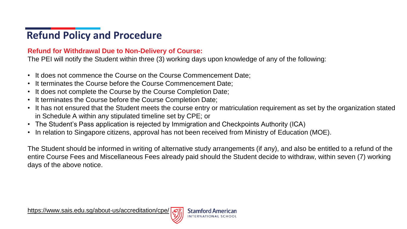### **Refund for Withdrawal Due to Non-Delivery of Course:**

The PEI will notify the Student within three (3) working days upon knowledge of any of the following:

- It does not commence the Course on the Course Commencement Date;
- It terminates the Course before the Course Commencement Date;
- It does not complete the Course by the Course Completion Date;
- It terminates the Course before the Course Completion Date;
- It has not ensured that the Student meets the course entry or matriculation requirement as set by the organization stated in Schedule A within any stipulated timeline set by CPE; or
- The Student's Pass application is rejected by Immigration and Checkpoints Authority (ICA)
- In relation to Singapore citizens, approval has not been received from Ministry of Education (MOE).

The Student should be informed in writing of alternative study arrangements (if any), and also be entitled to a refund of the entire Course Fees and Miscellaneous Fees already paid should the Student decide to withdraw, within seven (7) working days of the above notice.

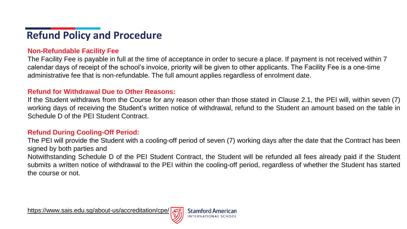### **Non-Refundable Facility Fee**

The Facility Fee is payable in full at the time of acceptance in order to secure a place. If payment is not received within 7 calendar days of receipt of the school's invoice, priority will be given to other applicants. The Facility Fee is a one-time administrative fee that is non-refundable. The full amount applies regardless of enrolment date.

#### **Refund for Withdrawal Due to Other Reasons:**

If the Student withdraws from the Course for any reason other than those stated in Clause 2.1, the PEI will, within seven (7) working days of receiving the Student's written notice of withdrawal, refund to the Student an amount based on the table in Schedule D of the PEI Student Contract.

#### **Refund During Cooling-Off Period:**

The PEI will provide the Student with a cooling-off period of seven (7) working days after the date that the Contract has been signed by both parties and

Notwithstanding Schedule D of the PEI Student Contract, the Student will be refunded all fees already paid if the Student submits a written notice of withdrawal to the PEI within the cooling-off period, regardless of whether the Student has started the course or not.

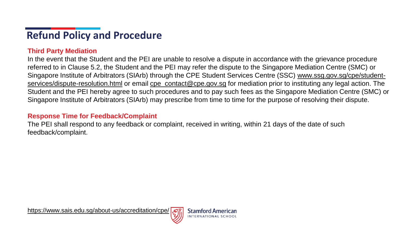### **Third Party Mediation**

In the event that the Student and the PEI are unable to resolve a dispute in accordance with the grievance procedure referred to in Clause 5.2, the Student and the PEI may refer the dispute to the Singapore Mediation Centre (SMC) or [Singapore Institute of Arbitrators \(SIArb\) through the CPE Student Services Centre \(SSC\)](http://www.ssg.gov.sg/cpe/student-services/dispute-resolution.html) www.ssg.gov.sg/cpe/studentservices/dispute-resolution.html or email [cpe\\_contact@cpe.gov.sg](mailto:cpe_contact@cpe.gov.sg) for mediation prior to instituting any legal action. The Student and the PEI hereby agree to such procedures and to pay such fees as the Singapore Mediation Centre (SMC) or Singapore Institute of Arbitrators (SIArb) may prescribe from time to time for the purpose of resolving their dispute.

### **Response Time for Feedback/Complaint**

The PEI shall respond to any feedback or complaint, received in writing, within 21 days of the date of such feedback/complaint.

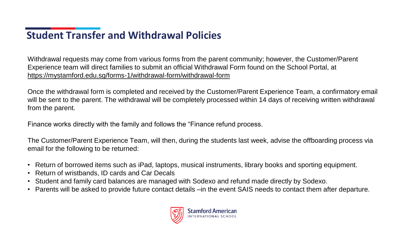## **Student Transfer and Withdrawal Policies**

Withdrawal requests may come from various forms from the parent community; however, the Customer/Parent Experience team will direct families to submit an official Withdrawal Form found on the School Portal, at <https://mystamford.edu.sg/forms-1/withdrawal-form/withdrawal-form>

Once the withdrawal form is completed and received by the Customer/Parent Experience Team, a confirmatory email will be sent to the parent. The withdrawal will be completely processed within 14 days of receiving written withdrawal from the parent.

Finance works directly with the family and follows the "Finance refund process.

The Customer/Parent Experience Team, will then, during the students last week, advise the offboarding process via email for the following to be returned:

- Return of borrowed items such as iPad, laptops, musical instruments, library books and sporting equipment.
- Return of wristbands, ID cards and Car Decals
- Student and family card balances are managed with Sodexo and refund made directly by Sodexo.
- Parents will be asked to provide future contact details –in the event SAIS needs to contact them after departure.

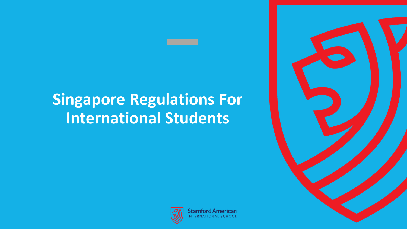# <span id="page-23-0"></span>**Singapore Regulations For International Students**



**Stamford American JTERNATIONAL SCHOOL**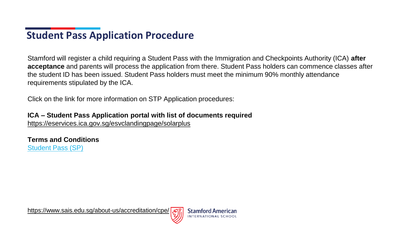## **Student Pass Application Procedure**

Stamford will register a child requiring a Student Pass with the Immigration and Checkpoints Authority (ICA) **after acceptance** and parents will process the application from there. Student Pass holders can commence classes after the student ID has been issued. Student Pass holders must meet the minimum 90% monthly attendance requirements stipulated by the ICA.

Click on the link for more information on STP Application procedures:

**ICA – Student Pass Application portal with list of documents required** 

<https://eservices.ica.gov.sg/esvclandingpage/solarplus>

**Terms and Conditions** [Student Pass \(SP\)](https://www.ica.gov.sg/docs/default-source/ica/files/docs/terms_-_conditions_stp.pdf)

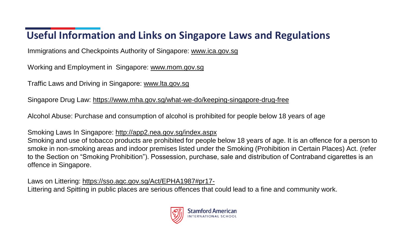## **Useful Information and Links on Singapore Laws and Regulations**

Immigrations and Checkpoints Authority of Singapore: [www.ica.gov.sg](http://www.ica.gov.sg/)

Working and Employment in Singapore: [www.mom.gov.sg](http://www.mom.gov.sg/)

Traffic Laws and Driving in Singapore: [www.lta.gov.sg](http://www.lta.gov.sg/)

Singapore Drug Law:<https://www.mha.gov.sg/what-we-do/keeping-singapore-drug-free>

Alcohol Abuse: Purchase and consumption of alcohol is prohibited for people below 18 years of age

Smoking Laws In Singapore:<http://app2.nea.gov.sg/index.aspx>

Smoking and use of tobacco products are prohibited for people below 18 years of age. It is an offence for a person to smoke in non-smoking areas and indoor premises listed under the Smoking (Prohibition in Certain Places) Act. (refer to the Section on "Smoking Prohibition"). Possession, purchase, sale and distribution of Contraband cigarettes is an offence in Singapore.

Laws on Littering: <https://sso.agc.gov.sg/Act/EPHA1987#pr17-> Littering and Spitting in public places are serious offences that could lead to a fine and community work.

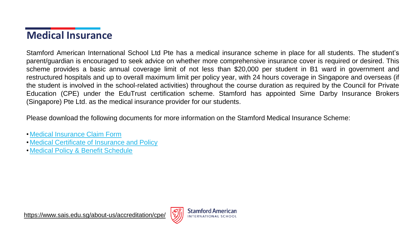### **Medical Insurance**

Stamford American International School Ltd Pte has a medical insurance scheme in place for all students. The student's parent/guardian is encouraged to seek advice on whether more comprehensive insurance cover is required or desired. This scheme provides a basic annual coverage limit of not less than \$20,000 per student in B1 ward in government and restructured hospitals and up to overall maximum limit per policy year, with 24 hours coverage in Singapore and overseas (if the student is involved in the school-related activities) throughout the course duration as required by the Council for Private Education (CPE) under the EduTrust certification scheme. Stamford has appointed Sime Darby Insurance Brokers (Singapore) Pte Ltd. as the medical insurance provider for our students.

Please download the following documents for more information on the Stamford Medical Insurance Scheme:

- [Medical Insurance Claim Form](https://www.sais.edu.sg/files/SAIS_Medical_Insurance_Claim_Form8ace.pdf)
- [Medical Certificate of Insurance and Policy](https://www.sais.edu.sg/files/SAIS_Edutrust_Certificate_of_Insurance-Policy1bb4.pdf)
- [Medical Policy & Benefit Schedule](https://www.sais.edu.sg/files/SAIS_Edutrust_Policy-Benefit_Schedule1c2a.pdf)

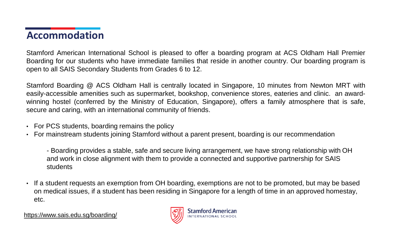### **Accommodation**

Stamford American International School is pleased to offer a boarding program at ACS Oldham Hall Premier Boarding for our students who have immediate families that reside in another country. Our boarding program is open to all SAIS Secondary Students from Grades 6 to 12.

Stamford Boarding @ ACS Oldham Hall is centrally located in Singapore, 10 minutes from Newton MRT with easily-accessible amenities such as supermarket, bookshop, convenience stores, eateries and clinic. an awardwinning hostel (conferred by the Ministry of Education, Singapore), offers a family atmosphere that is safe, secure and caring, with an international community of friends.

- For PCS students, boarding remains the policy
- For mainstream students joining Stamford without a parent present, boarding is our recommendation

- Boarding provides a stable, safe and secure living arrangement, we have strong relationship with OH and work in close alignment with them to provide a connected and supportive partnership for SAIS students

• If a student requests an exemption from OH boarding, exemptions are not to be promoted, but may be based on medical issues, if a student has been residing in Singapore for a length of time in an approved homestay, etc.

<https://www.sais.edu.sg/boarding/>

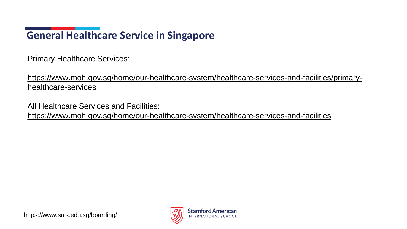## **General Healthcare Service in Singapore**

Primary Healthcare Services:

[https://www.moh.gov.sg/home/our-healthcare-system/healthcare-services-and-facilities/primary](https://www.moh.gov.sg/home/our-healthcare-system/healthcare-services-and-facilities/primary-healthcare-services)healthcare-services

All Healthcare Services and Facilities:

<https://www.moh.gov.sg/home/our-healthcare-system/healthcare-services-and-facilities>

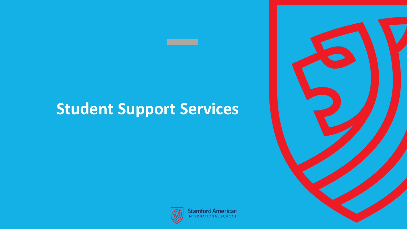<span id="page-29-0"></span>

**Stamford American** NTERNATIONAL SCHOOL

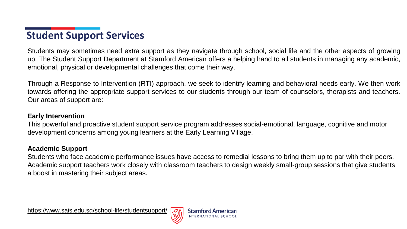Students may sometimes need extra support as they navigate through school, social life and the other aspects of growing up. The Student Support Department at Stamford American offers a helping hand to all students in managing any academic, emotional, physical or developmental challenges that come their way.

Through a Response to Intervention (RTI) approach, we seek to identify learning and behavioral needs early. We then work towards offering the appropriate support services to our students through our team of counselors, therapists and teachers. Our areas of support are:

### **Early Intervention**

This powerful and proactive student support service program addresses social-emotional, language, cognitive and motor development concerns among young learners at the Early Learning Village.

### **Academic Support**

Students who face academic performance issues have access to remedial lessons to bring them up to par with their peers. Academic support teachers work closely with classroom teachers to design weekly small-group sessions that give students a boost in mastering their subject areas.

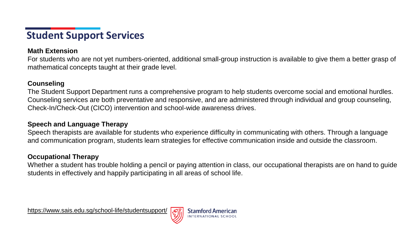#### **Math Extension**

For students who are not yet numbers-oriented, additional small-group instruction is available to give them a better grasp of mathematical concepts taught at their grade level.

#### **Counseling**

The Student Support Department runs a comprehensive program to help students overcome social and emotional hurdles. Counseling services are both preventative and responsive, and are administered through individual and group counseling, Check-In/Check-Out (CICO) intervention and school-wide awareness drives.

### **Speech and Language Therapy**

Speech therapists are available for students who experience difficulty in communicating with others. Through a language and communication program, students learn strategies for effective communication inside and outside the classroom.

### **Occupational Therapy**

Whether a student has trouble holding a pencil or paying attention in class, our occupational therapists are on hand to guide students in effectively and happily participating in all areas of school life.

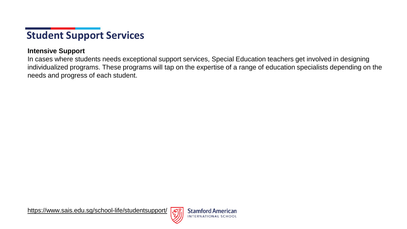### **Intensive Support**

In cases where students needs exceptional support services, Special Education teachers get involved in designing individualized programs. These programs will tap on the expertise of a range of education specialists depending on the needs and progress of each student.

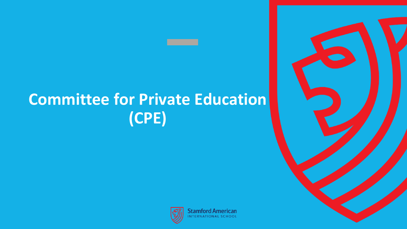# <span id="page-33-0"></span>**Committee for Private Education (CPE)**





**Stamford American** NTERNATIONAL SCHOOL